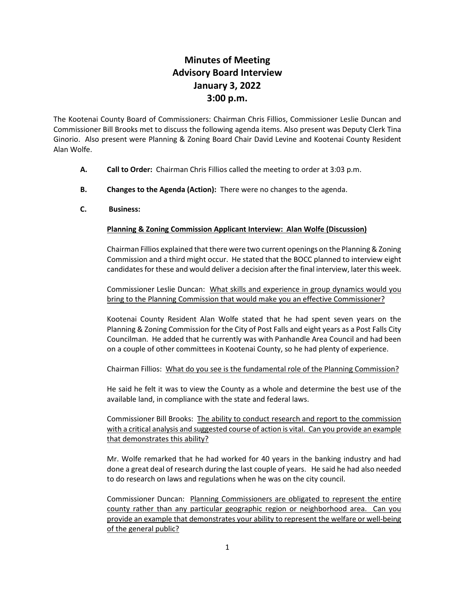# **Minutes of Meeting Advisory Board Interview January 3, 2022 3:00 p.m.**

The Kootenai County Board of Commissioners: Chairman Chris Fillios, Commissioner Leslie Duncan and Commissioner Bill Brooks met to discuss the following agenda items. Also present was Deputy Clerk Tina Ginorio. Also present were Planning & Zoning Board Chair David Levine and Kootenai County Resident Alan Wolfe.

- **A. Call to Order:** Chairman Chris Fillios called the meeting to order at 3:03 p.m.
- **B. Changes to the Agenda (Action):** There were no changes to the agenda.
- **C. Business:**

## **Planning & Zoning Commission Applicant Interview: Alan Wolfe (Discussion)**

Chairman Fillios explained that there were two current openings on the Planning & Zoning Commission and a third might occur. He stated that the BOCC planned to interview eight candidates for these and would deliver a decision after the final interview, later this week.

Commissioner Leslie Duncan: What skills and experience in group dynamics would you bring to the Planning Commission that would make you an effective Commissioner?

Kootenai County Resident Alan Wolfe stated that he had spent seven years on the Planning & Zoning Commission for the City of Post Falls and eight years as a Post Falls City Councilman. He added that he currently was with Panhandle Area Council and had been on a couple of other committees in Kootenai County, so he had plenty of experience.

Chairman Fillios: What do you see is the fundamental role of the Planning Commission?

He said he felt it was to view the County as a whole and determine the best use of the available land, in compliance with the state and federal laws.

Commissioner Bill Brooks: The ability to conduct research and report to the commission with a critical analysis and suggested course of action is vital. Can you provide an example that demonstrates this ability?

Mr. Wolfe remarked that he had worked for 40 years in the banking industry and had done a great deal of research during the last couple of years. He said he had also needed to do research on laws and regulations when he was on the city council.

Commissioner Duncan: Planning Commissioners are obligated to represent the entire county rather than any particular geographic region or neighborhood area. Can you provide an example that demonstrates your ability to represent the welfare or well-being of the general public?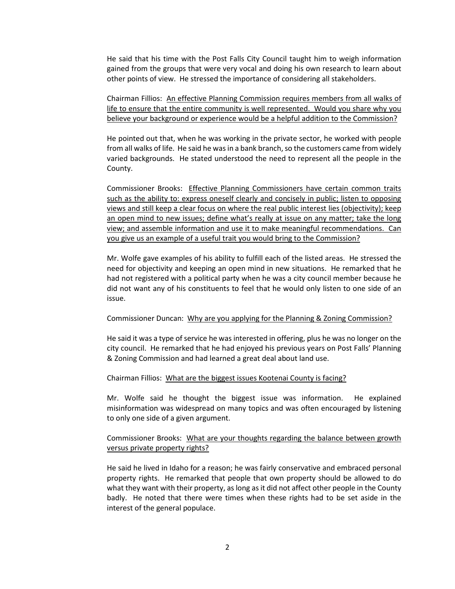He said that his time with the Post Falls City Council taught him to weigh information gained from the groups that were very vocal and doing his own research to learn about other points of view. He stressed the importance of considering all stakeholders.

Chairman Fillios: An effective Planning Commission requires members from all walks of life to ensure that the entire community is well represented. Would you share why you believe your background or experience would be a helpful addition to the Commission?

He pointed out that, when he was working in the private sector, he worked with people from all walks of life. He said he was in a bank branch, so the customers came from widely varied backgrounds. He stated understood the need to represent all the people in the County.

Commissioner Brooks: Effective Planning Commissioners have certain common traits such as the ability to: express oneself clearly and concisely in public; listen to opposing views and still keep a clear focus on where the real public interest lies (objectivity); keep an open mind to new issues; define what's really at issue on any matter; take the long view; and assemble information and use it to make meaningful recommendations. Can you give us an example of a useful trait you would bring to the Commission?

Mr. Wolfe gave examples of his ability to fulfill each of the listed areas. He stressed the need for objectivity and keeping an open mind in new situations. He remarked that he had not registered with a political party when he was a city council member because he did not want any of his constituents to feel that he would only listen to one side of an issue.

#### Commissioner Duncan: Why are you applying for the Planning & Zoning Commission?

He said it was a type of service he was interested in offering, plus he was no longer on the city council. He remarked that he had enjoyed his previous years on Post Falls' Planning & Zoning Commission and had learned a great deal about land use.

#### Chairman Fillios: What are the biggest issues Kootenai County is facing?

Mr. Wolfe said he thought the biggest issue was information. He explained misinformation was widespread on many topics and was often encouraged by listening to only one side of a given argument.

### Commissioner Brooks: What are your thoughts regarding the balance between growth versus private property rights?

He said he lived in Idaho for a reason; he was fairly conservative and embraced personal property rights. He remarked that people that own property should be allowed to do what they want with their property, as long as it did not affect other people in the County badly. He noted that there were times when these rights had to be set aside in the interest of the general populace.